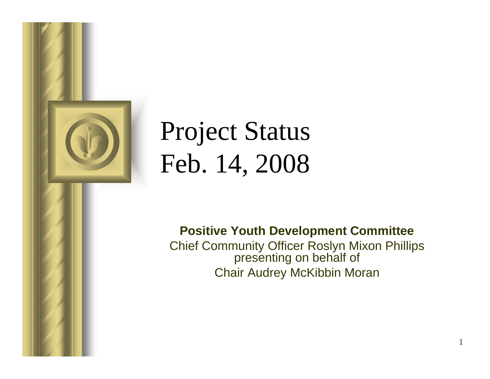

# Project Status Feb. 14, 2008

**Positive Youth Development Committee** Chief Community Officer Roslyn Mixon Phillips presenting on behalf of Chair Audrey McKibbin Moran

1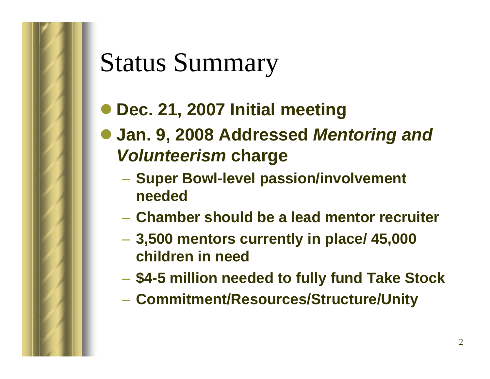## Status Summary

- z **Dec. 21, 2007 Initial meeting**
- z **Jan. 9, 2008 Addressed** *Mentoring and Volunteerism* **charge**
	- **Super Bowl-level passion/involvement needed**
	- **Chamber should be a lead mentor recruiter**
	- **Hart Committee 3,500 mentors currently in place/ 45,000 children in need**
	- **\$4-5 million needed to fully fund Take Stock**
	- **Commitment/Resources/Structure/Unity**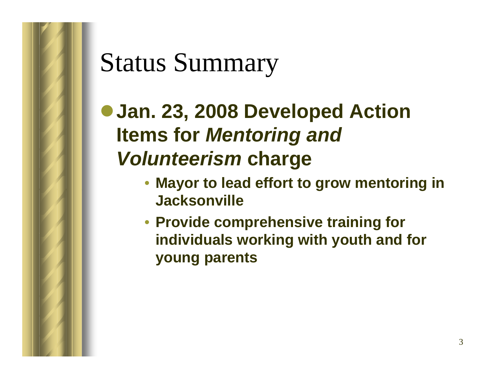## Status Summary

 $\bullet$  **Jan. 23, 2008 Developed Action Items for** *Mentoring and Volunteerism* **charge**

- **Mayor to lead effort to grow mentoring in Jacksonville**
- **Provide comprehensive training for individuals working with youth and for young parents**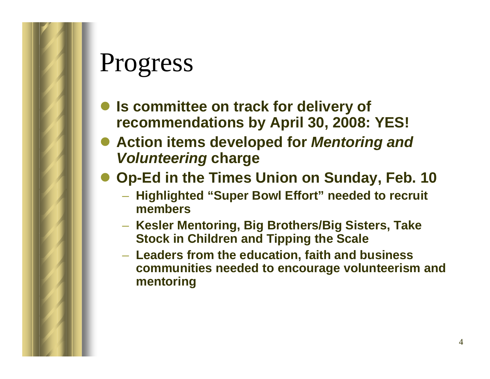- $\bullet$  **Is committee on track for delivery of recommendations by April 30, 2008: YES!**
- **Action items developed for** *Mentoring and Volunteering* **charge**
- $\bullet$  **Op-Ed in the Times Union on Sunday, Feb. 10**
	- **Highlighted "Super Bowl Effort" needed to recruit members**
	- **Kesler Mentoring, Big Brothers/Big Sisters, Take Stock in Children and Tipping the Scale**
	- **Leaders from the education, faith and business communities needed to encourage volunteerism and mentoring**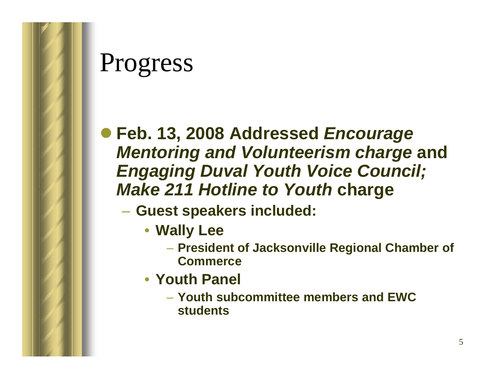

#### z **Feb. 13, 2008 Addressed** *Encourage Mentoring and Volunteerism charge* **and**  *Engaging Duval Youth Voice Council; Make 211 Hotline to Youth* **charge**

- **Guest speakers included:**
	- **Wally Lee**
		- **President of Jacksonville Regional Chamber of Commerce**
	- **Youth Panel**
		- **Youth subcommittee members and EWC students**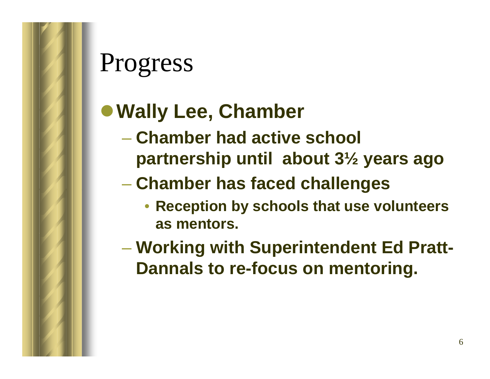#### <sup>z</sup>**Wally Lee, Chamber**

- **Chamber had active school partnership until about 3½ years ago**
- **Chamber has faced challenges**
	- **Reception by schools that use volunteers as mentors.**
- **Working with Superintendent Ed Pratt-Dannals to re-focus on mentoring.**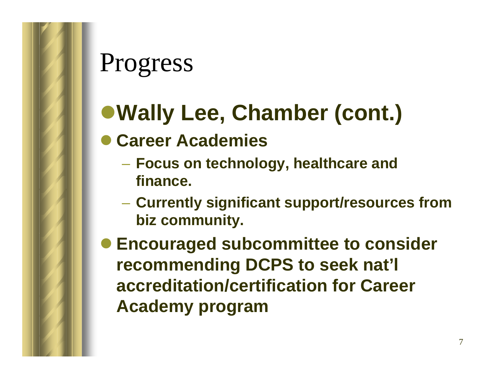- <sup>z</sup>**Wally Lee, Chamber (cont.)**
- **Career Academies** 
	- **Focus on technology, healthcare and finance.**
	- **Hart Committee Currently significant support/resources from biz community.**
- **Encouraged subcommittee to consider recommending DCPS to seek nat'l accreditation/certification for Career Academy program**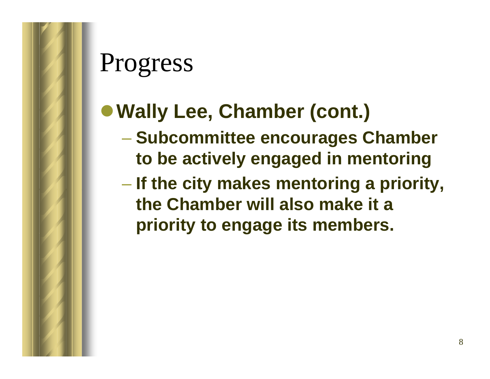#### <sup>z</sup>**Wally Lee, Chamber (cont.)**

- **Subcommittee encourages Chamber to be actively engaged in mentoring**
- **If the city makes mentoring a priority, the Chamber will also make it a priority to engage its members.**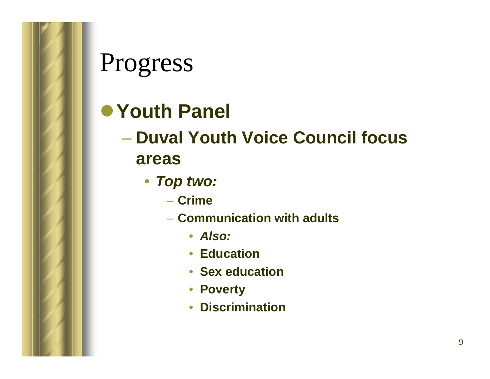#### z**Youth Panel**

– **Duval Youth Voice Council focus areas**

- *Top two:*
	- **Crime**
	- **Communication with adults**
		- *Also:*
		- **Education**
		- **Sex education**
		- **Poverty**
		- **Discrimination**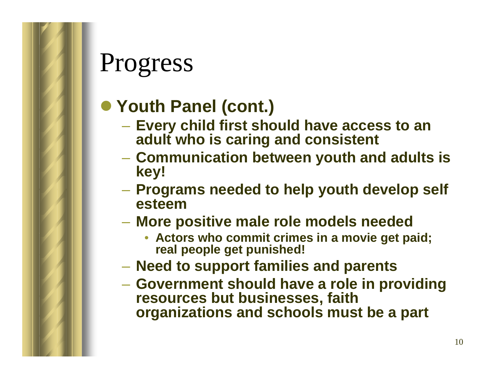#### ● Youth Panel (cont.)

- **Every child first should have access to an adult who is caring and consistent**
- **Communication between youth and adults is key!**
- – **Programs needed to help youth develop self esteem**
- – **More positive male role models needed**
	- **Actors who commit crimes in a movie get paid; real people get punished!**
- –**Need to support families and parents**
- **Government should have a role in providing resources but businesses, faith organizations and schools must be a part**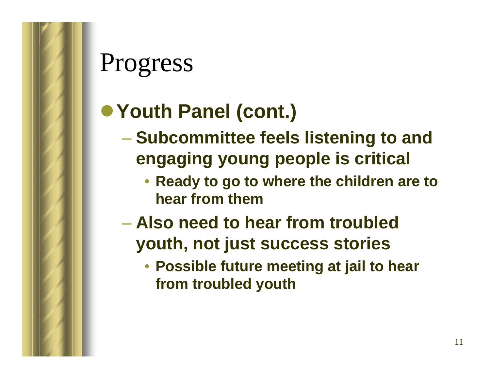#### <sup>z</sup>**Youth Panel (cont.)**

- **Subcommittee feels listening to and engaging young people is critical**
	- **Ready to go to where the children are to hear from them**
- **Also need to hear from troubled youth, not just success stories**
	- **Possible future meeting at jail to hear from troubled youth**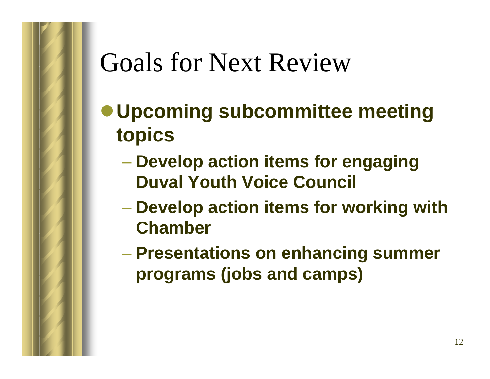## Goals for Next Review

- <sup>z</sup>**Upcoming subcommittee meeting topics**
	- **Develop action items for engaging Duval Youth Voice Council**
	- **Develop action items for working with Chamber**
	- **Presentations on enhancing summer programs (jobs and camps)**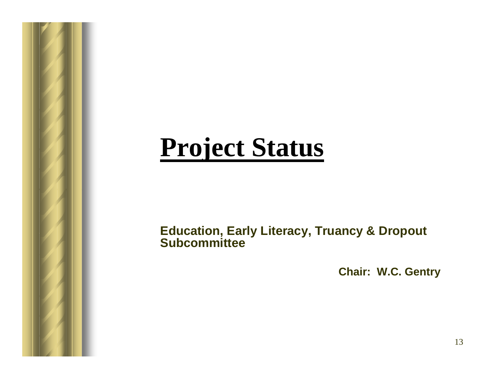## **Project Status**

#### **Education, Early Literacy, Truancy & Dropout Subcommittee**

**Chair: W.C. Gentry**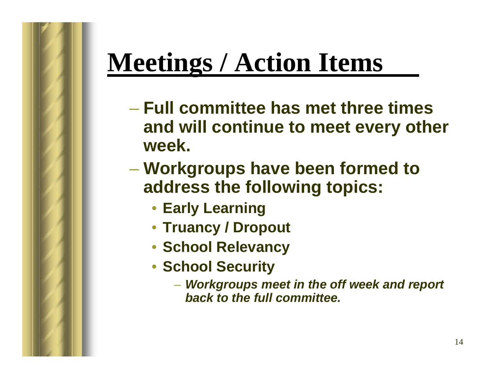# **Meetings / Action Items**

- **Full committee has met three times and will continue to meet every other week.**
- **Hart Community Workgroups have been formed to address the following topics:**
	- **Early Learning**
	- **Truancy / Dropout**
	- **School Relevancy**
	- **School Security**
		- *Workgroups meet in the off week and report back to the full committee.*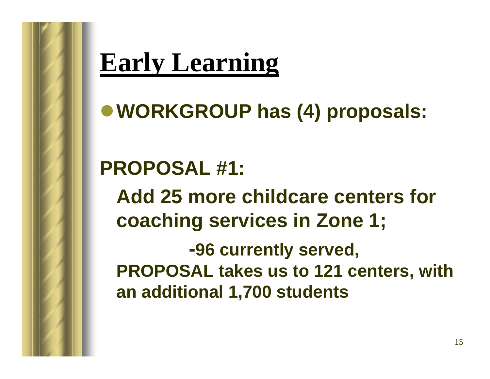<sup>z</sup>**WORKGROUP has (4) proposals:** 

**PROPOSAL #1: Add 25 more childcare centers for coaching services in Zone 1; -96 currently served, PROPOSAL takes us to 121 centers, with an additional 1,700 students**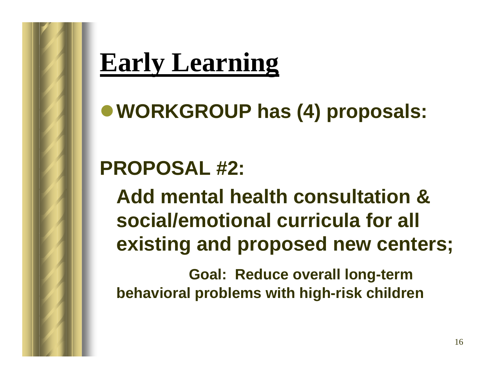<sup>z</sup>**WORKGROUP has (4) proposals:** 

#### **PROPOSAL #2:**

**Add mental health consultation & social/emotional curricula for all existing and proposed new centers;** 

**Goal: Reduce overall long-term behavioral problems with high-risk children**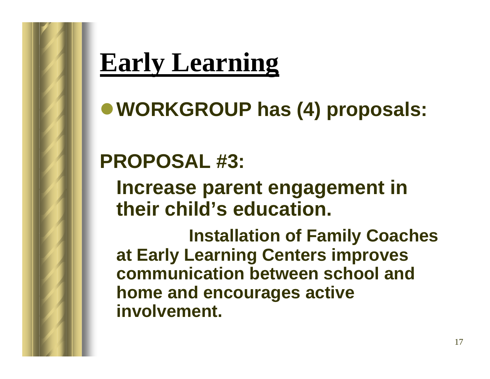<sup>z</sup>**WORKGROUP has (4) proposals:** 

#### **PROPOSAL #3:**

**Increase parent engagement in their child's education.** 

**Installation of Family Coaches at Early Learning Centers improves communication between school and home and encourages active involvement.**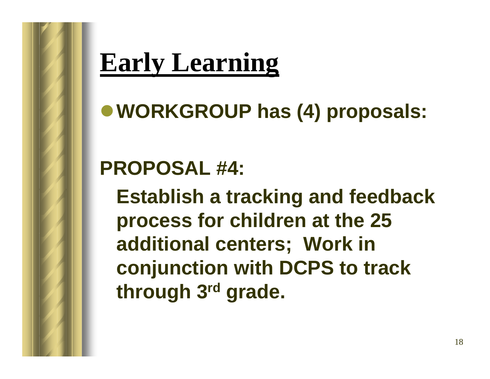<sup>z</sup>**WORKGROUP has (4) proposals:** 

#### **PROPOSAL #4:**

**Establish a tracking and feedback process for children at the 25 additional centers; Work in conjunction with DCPS to track through 3rd grade.**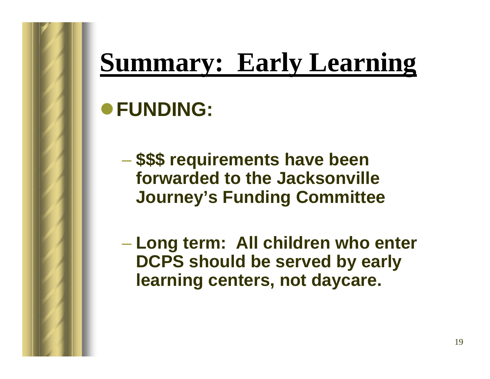# **Summary: Early Learning**

#### z**FUNDING:**

 **\$\$\$ requirements have been forwarded to the Jacksonville Journey's Funding Committee**

 **Long term: All children who enter DCPS should be served by early learning centers, not daycare.**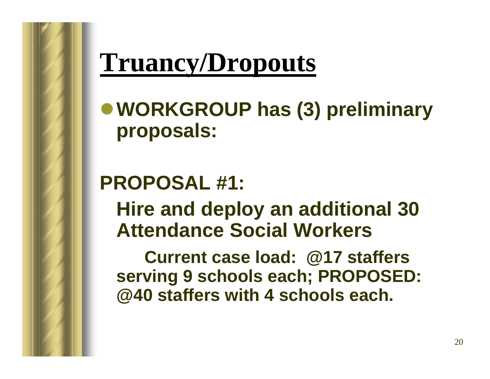## **Truancy/Dropouts**

<sup>z</sup>**WORKGROUP has (3) preliminary proposals:**

#### **PROPOSAL #1:**

**Hire and deploy an additional 30 Attendance Social Workers**

**Current case load: @17 staffers serving 9 schools each; PROPOSED: @40 staffers with 4 schools each.**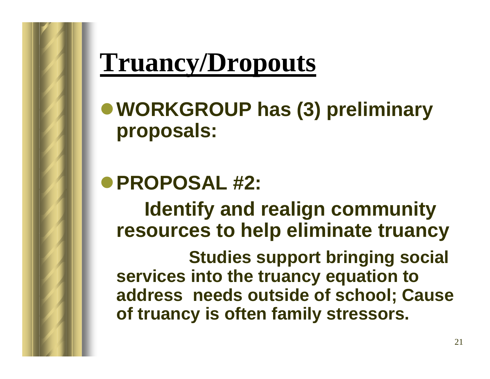## **Truancy/Dropouts**

<sup>z</sup>**WORKGROUP has (3) preliminary proposals:**

z**PROPOSAL #2: Identify and realign community resources to help eliminate truancy**

**Studies support bringing social services into the truancy equation to address needs outside of school; Cause of truancy is often family stressors.**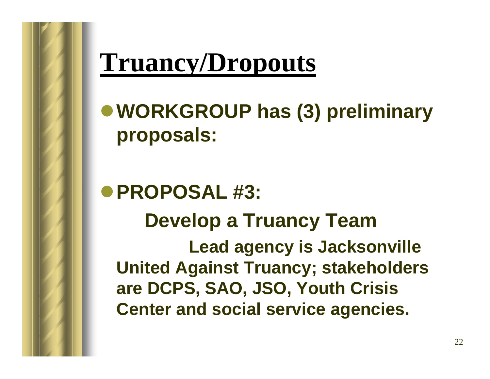## **Truancy/Dropouts**

<sup>z</sup>**WORKGROUP has (3) preliminary proposals:**

z**PROPOSAL #3: Develop a Truancy Team Lead agency is Jacksonville United Against Truancy; stakeholders are DCPS, SAO, JSO, Youth Crisis Center and social service agencies.**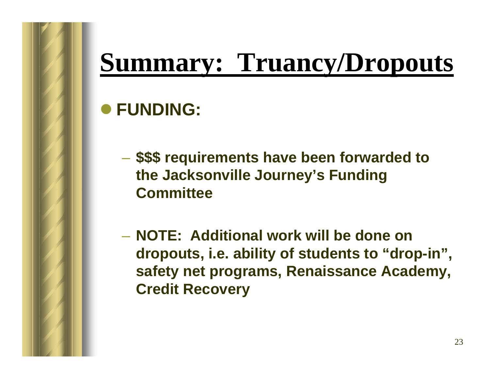## **Summary: Truancy/Dropouts**

#### z **FUNDING:**

- **\$\$\$ requirements have been forwarded to the Jacksonville Journey's Funding Committee**
- **NOTE: Additional work will be done on dropouts, i.e. ability of students to "drop-in", safety net programs, Renaissance Academy, Credit Recovery**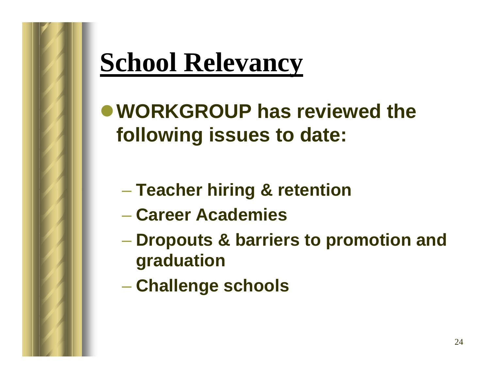# **School Relevancy**

 $\bullet$  **WORKGROUP has reviewed the following issues to date:**

- **Teacher hiring & retention**
- **Career Academies**
- **Dropouts & barriers to promotion and graduation**
- **Challenge schools**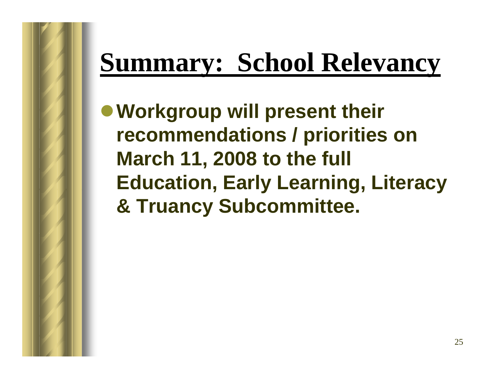# **Summary: School Relevancy**

 $\bullet$  **Workgroup will present their recommendations / priorities on March 11, 2008 to the full Education, Early Learning, Literacy & Truancy Subcommittee.**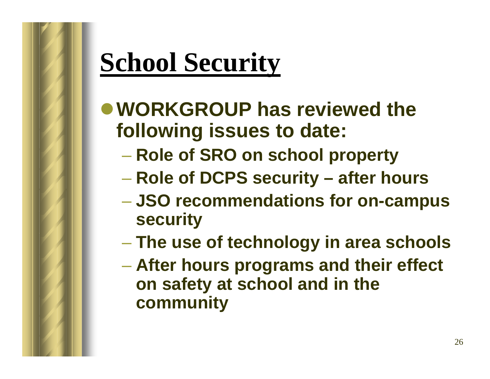# **School Security**

- $\bullet$  **WORKGROUP has reviewed the following issues to date:**
	- **Role of SRO on school property**
	- **Role of DCPS security – after hours**
	- **JSO recommendations for on-campus security**
	- **The use of technology in area schools**
	- **After hours programs and their effect on safety at school and in the community**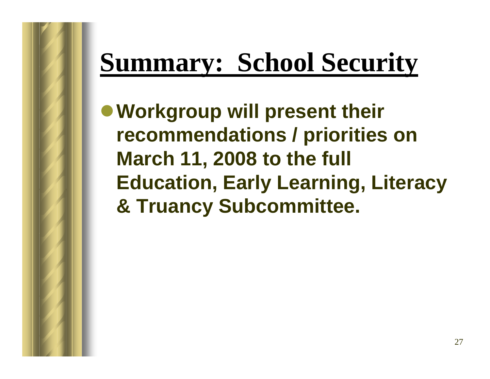# **Summary: School Security**

 $\bullet$  **Workgroup will present their recommendations / priorities on March 11, 2008 to the full Education, Early Learning, Literacy & Truancy Subcommittee.**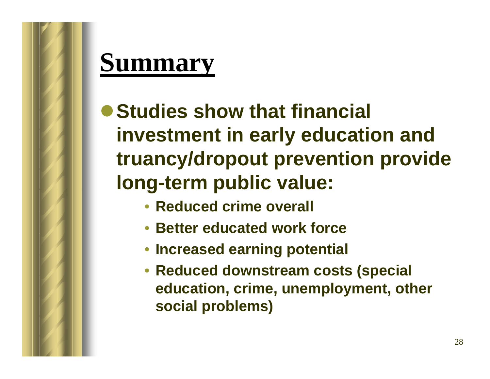## **Summary**

**• Studies show that financial investment in early education and truancy/dropout prevention provide long-term public value:**

- **Reduced crime overall**
- **Better educated work force**
- **Increased earning potential**
- **Reduced downstream costs (special education, crime, unemployment, other social problems)**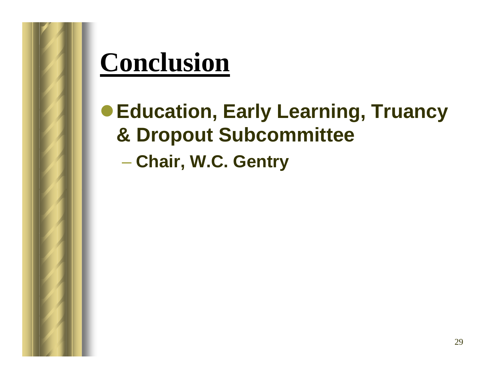## **Conclusion**

● Education, Early Learning, Truancy **& Dropout Subcommittee** 

**Chair, W.C. Gentry**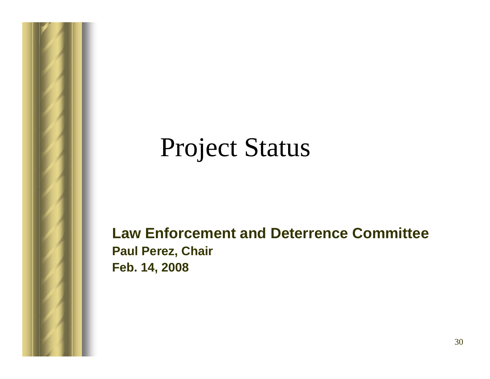### Project Status

#### **Law Enforcement and Deterrence Committee Paul Perez, Chair Feb. 14, 2008**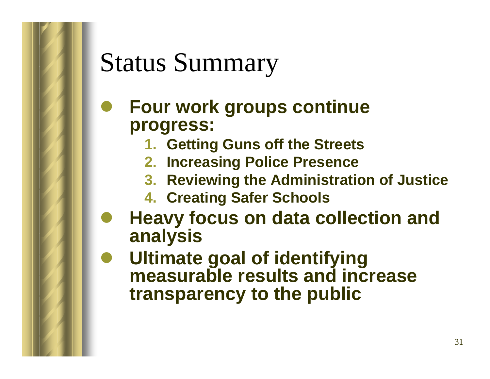## Status Summary

#### $\bullet$  **Four work groups continue progress:**

- **1. Getting Guns off the Streets**
- **2. Increasing Police Presence**
- **3. Reviewing the Administration of Justice**
- **4. Creating Safer Schools**
- $\bullet$  **Heavy focus on data collection and analysis**
- $\bullet$  **Ultimate goal of identifying measurable results and increase transparency to the public**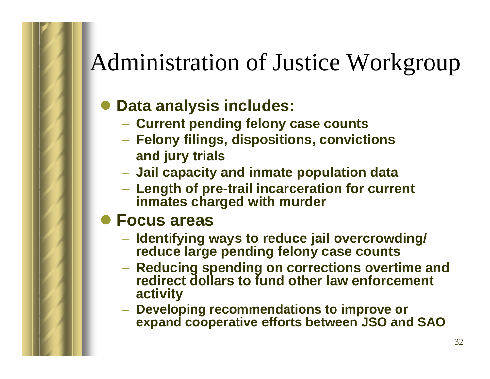#### Administration of Justice Workgroup

#### $\bullet$ **Data analysis includes:**

- **Current pending felony case counts**
- **Felony filings, dispositions, convictions and jury trials**
- **Jail capacity and inmate population data**
- and the control of the con- **Length of pre-trail incarceration for current inmates charged with murder**

#### **• Focus areas**

- **Identifying ways to reduce jail overcrowding/ reduce large pending felony case counts**
- and the control of the con- **Reducing spending on corrections overtime and redirect dollars to fund other law enforcement activity**
- **Developing recommendations to improve or expand cooperative efforts between JSO and SAO**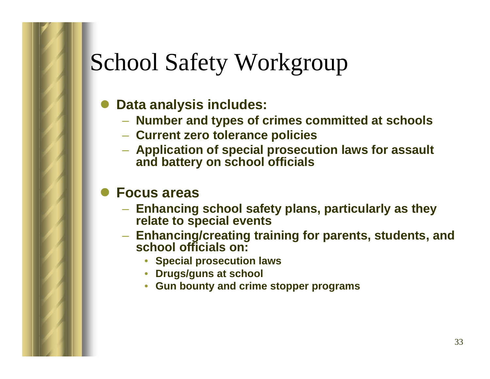#### School Safety Workgroup

- $\bullet$  **Data analysis includes:** 
	- **Number and types of crimes committed at schools**
	- **Current zero tolerance policies**
	- **Application of special prosecution laws for assault and battery on school officials**

#### $\bullet$ **Focus areas**

- **Enhancing school safety plans, particularly as they relate to special events**
- **Enhancing/creating training for parents, students, and school officials on:** 
	- •**Special prosecution laws**
	- •**Drugs/guns at school**
	- $\bullet$ **Gun bounty and crime stopper programs**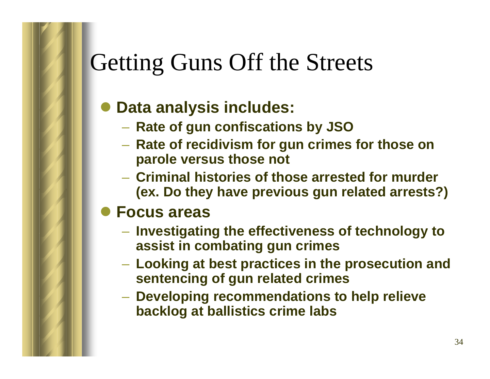#### Getting Guns Off the Streets

#### $\bullet$ **Data analysis includes:**

- **Rate of gun confiscations by JSO**
- and the control of the con- **Rate of recidivism for gun crimes for those on parole versus those not**
- **Criminal histories of those arrested for murder (ex. Do they have previous gun related arrests?)**

#### z **Focus areas**

- **Investigating the effectiveness of technology to assist in combating gun crimes**
- and the control of the con- **Looking at best practices in the prosecution and sentencing of gun related crimes**
- **Developing recommendations to help relieve backlog at ballistics crime labs**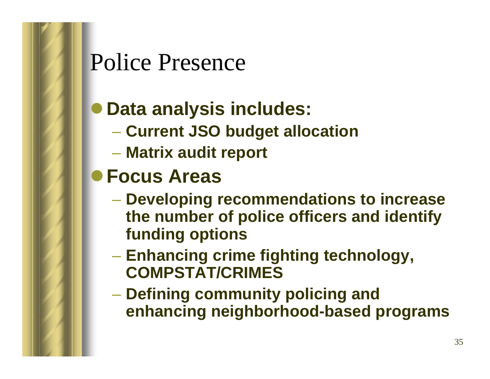#### Police Presence

#### $\bullet$ **Data analysis includes:**

- **Current JSO budget allocation**
- **Matrix audit report**
- z**Focus Areas** 
	- **Developing recommendations to increase the number of police officers and identify funding options**
	- **Enhancing crime fighting technology, COMPSTAT/CRIMES**
	- **Defining community policing and enhancing neighborhood-based programs**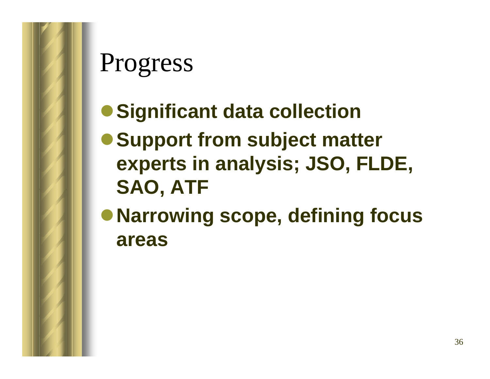- **Significant data collection**
- **Support from subject matter experts in analysis; JSO, FLDE, SAO, ATF**
- <sup>z</sup>**Narrowing scope, defining focus areas**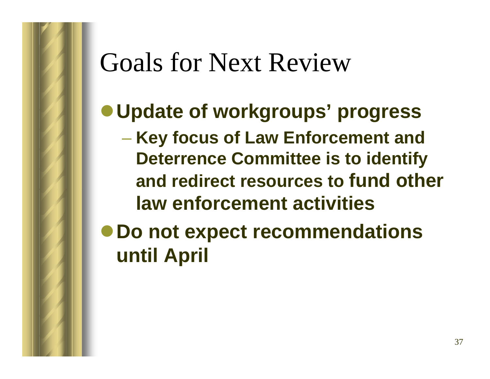### Goals for Next Review

#### <sup>z</sup>**Update of workgroups' progress**

 **Key focus of Law Enforcement and Deterrence Committee is to identify and redirect resources to fund other law enforcement activities** 

<sup>z</sup>**Do not expect recommendations until April**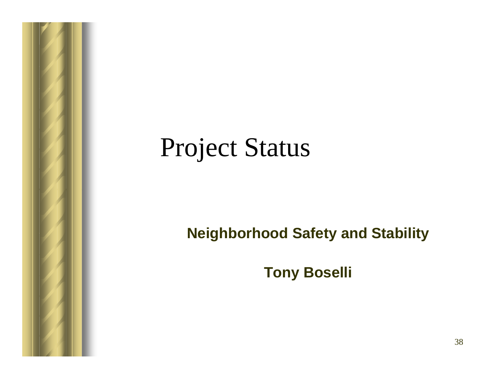#### Project Status

#### **Neighborhood Safety and Stability**

**Tony Boselli**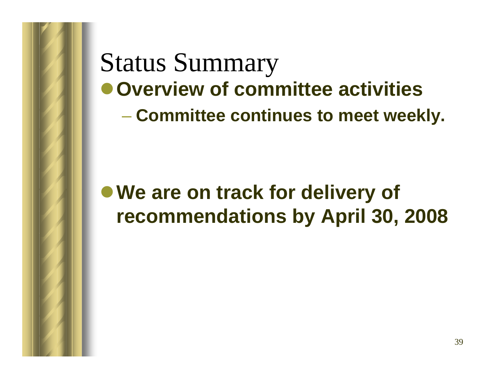Status Summary  $\bullet$  **Overview of committee activities Committee continues to meet weekly.**

#### ● We are on track for delivery of **recommendations by April 30, 2008**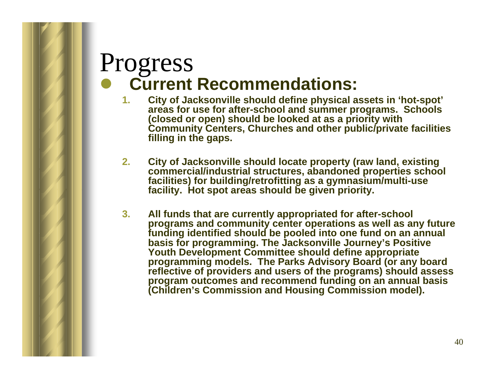#### Progress  $\bullet$ **Current Recommendations:**

- **1. City of Jacksonville should define physical assets in 'hot-spot' areas for use for after-school and summer programs. Schools (closed or open) should be looked at as a priority with Community Centers, Churches and other public/private facilities filling in the gaps.**
- **2. City of Jacksonville should locate property (raw land, existing commercial/industrial structures, abandoned properties school facilities) for building/retrofitting as a gymnasium/multi-use facility. Hot spot areas should be given priority.**
- **3. All funds that are currently appropriated for after-school programs and community center operations as well as any future funding identified should be pooled into one fund on an annual basis for programming. The Jacksonville Journey's Positive Youth Development Committee should define appropriate programming models. The Parks Advisory Board (or any board reflective of providers and users of the programs) should assess program outcomes and recommend funding on an annual basis (Children's Commission and Housing Commission model).**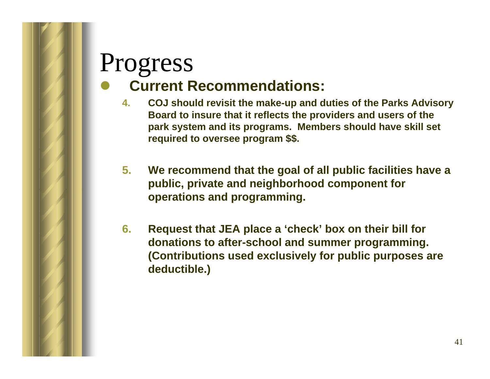#### Progress  $\bullet$ **Current Recommendations:**

- **4. COJ should revisit the make-up and duties of the Parks Advisory Board to insure that it reflects the providers and users of the park system and its programs. Members should have skill set required to oversee program \$\$.**
- **5. We recommend that the goal of all public facilities have a public, private and neighborhood component for operations and programming.**
- **6. Request that JEA place a 'check' box on their bill for donations to after-school and summer programming. (Contributions used exclusively for public purposes are deductible.)**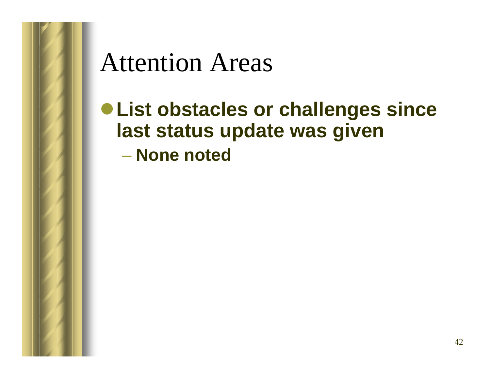#### Attention Areas

<sup>z</sup>**List obstacles or challenges since last status update was given** – **None noted**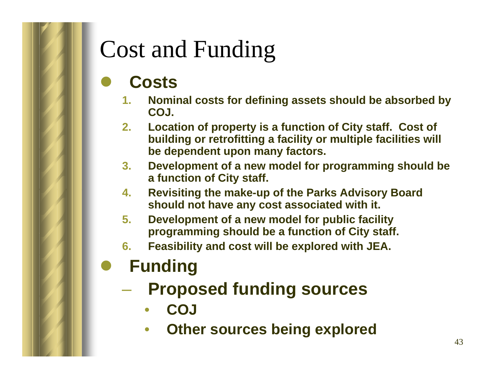#### Cost and Funding

#### $\bullet$ **Costs**

- **1. Nominal costs for defining assets should be absorbed by COJ.**
- **2. Location of property is a function of City staff. Cost of building or retrofitting a facility or multiple facilities will be dependent upon many factors.**
- **3. Development of a new model for programming should be a function of City staff.**
- **4. Revisiting the make-up of the Parks Advisory Board should not have any cost associated with it.**
- **5. Development of a new model for public facility programming should be a function of City staff.**
- **6. Feasibility and cost will be explored with JEA.**

#### $\bullet$ **Funding**

- **Proposed funding sources**
	- •**COJ**
	- •**Other sources being explored**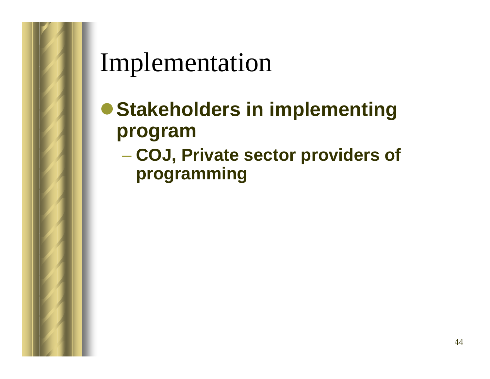Implementation

- **Stakeholders in implementing program**
	- **COJ, Private sector providers of programming**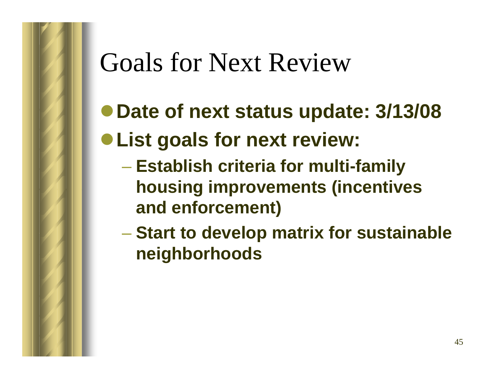## Goals for Next Review

- <sup>z</sup>**Date of next status update: 3/13/08**
- <sup>z</sup>**List goals for next review:**
	- **Establish criteria for multi-family housing improvements (incentives and enforcement)**
	- **Start to develop matrix for sustainable neighborhoods**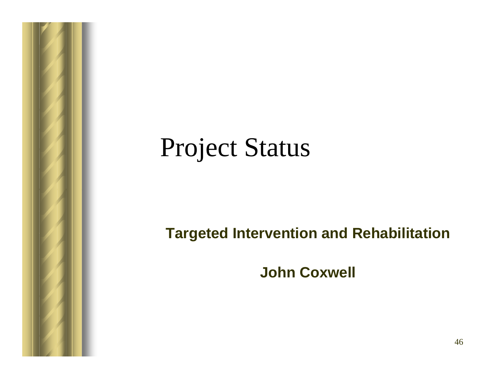### Project Status

#### **Targeted Intervention and Rehabilitation**

**John Coxwell**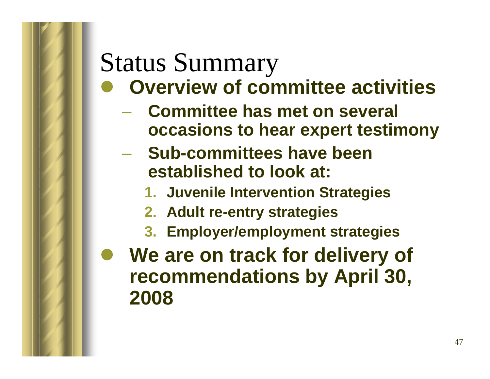## Status Summary

- $\bullet$  **Overview of committee activities**
	- **Committee has met on several occasions to hear expert testimony**
	- **Sub-committees have been established to look at:**
		- **1. Juvenile Intervention Strategies**
		- **2. Adult re-entry strategies**
		- **3. Employer/employment strategies**
- $\bullet$  **We are on track for delivery of recommendations by April 30, 2008**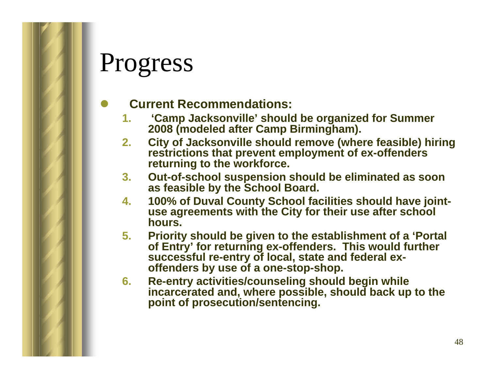#### $\bullet$ **Current Recommendations:**

- **1. 'Camp Jacksonville' should be organized for Summer 2008 (modeled after Camp Birmingham).**
- **2. City of Jacksonville should remove (where feasible) hiring restrictions that prevent employment of ex-offenders returning to the workforce.**
- **3. Out-of-school suspension should be eliminated as soon as feasible by the School Board.**
- **4. 100% of Duval County School facilities should have jointuse agreements with the City for their use after school hours.**
- **5. Priority should be given to the establishment of a 'Portal of Entry' for returning ex-offenders. This would further successful re-entry of local, state and federal exoffenders by use of a one-stop-shop.**
- **6. Re-entry activities/counseling should begin while incarcerated and, where possible, should back up to the point of prosecution/sentencing.**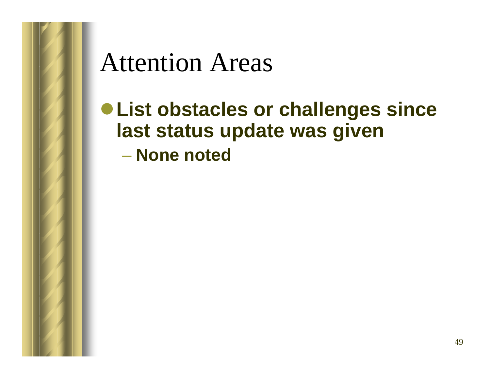#### Attention Areas

<sup>z</sup>**List obstacles or challenges since last status update was given** – **None noted**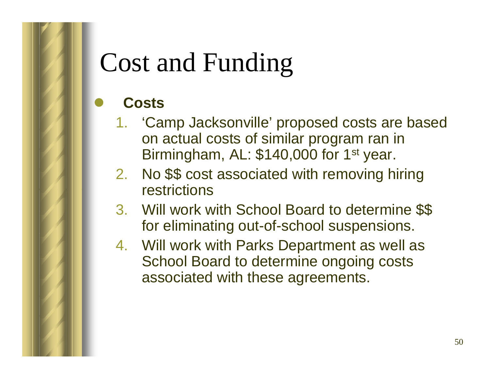# Cost and Funding

#### **Costs**

 $\bullet$ 

- 1. 'Camp Jacksonville' proposed costs are based on actual costs of similar program ran in Birmingham, AL: \$140,000 for 1<sup>st</sup> year.
- 2. No \$\$ cost associated with removing hiring restrictions
- 3. Will work with School Board to determine \$\$ for eliminating out-of-school suspensions.
- 4. Will work with Parks Department as well as School Board to determine ongoing costs associated with these agreements.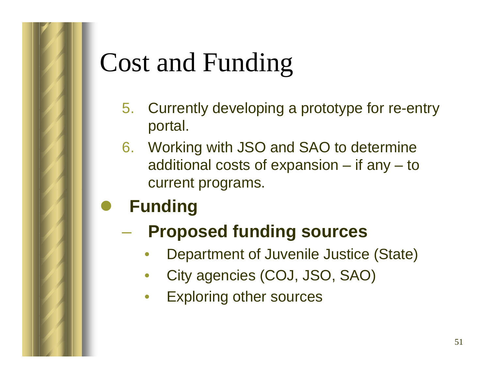# Cost and Funding

- 5. Currently developing a prototype for re-entry portal.
- 6. Working with JSO and SAO to determine additional costs of expansion – if any – to current programs.
- $\bullet$ **Funding**

#### **Proposed funding sources**

- •Department of Juvenile Justice (State)
- •City agencies (COJ, JSO, SAO)
- •Exploring other sources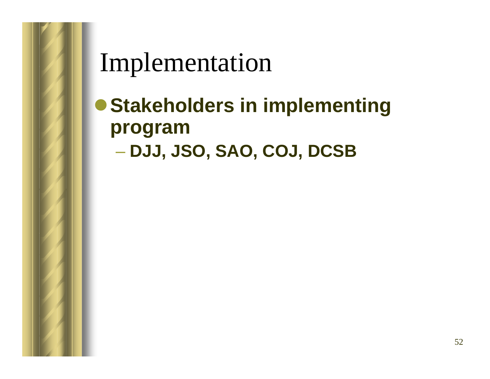Implementation

**• Stakeholders in implementing program DJJ, JSO, SAO, COJ, DCSB**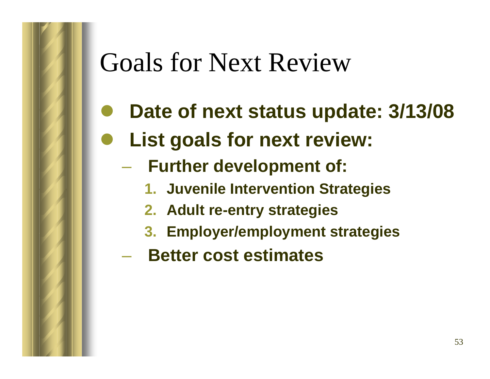### Goals for Next Review

- $\bullet$ **Date of next status update: 3/13/08**
- $\bullet$  **List goals for next review:**
	- **Further development of:**
		- **1. Juvenile Intervention Strategies**
		- **2. Adult re-entry strategies**
		- **3. Employer/employment strategies**
	- **Better cost estimates**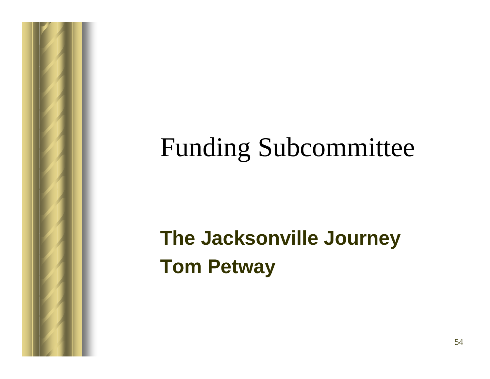## Funding Subcommittee

#### **The Jacksonville Journey Tom Petway**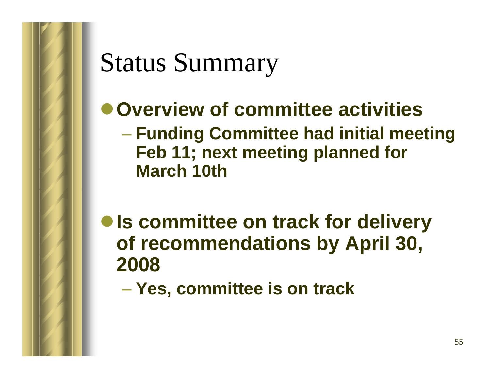## Status Summary

#### $\bullet$  **Overview of committee activities**

- **Funding Committee had initial meeting Feb 11; next meeting planned for March 10th**
- $\bullet$  **Is committee on track for delivery of recommendations by April 30, 2008**
	- **Yes, committee is on track**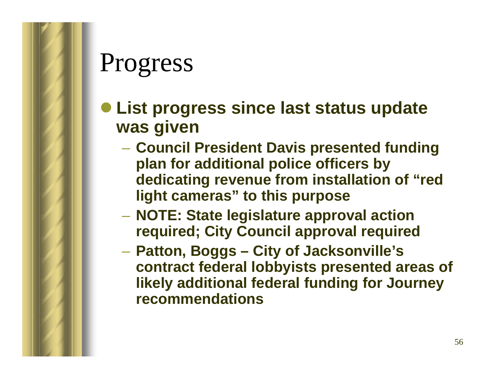- **List progress since last status update was given**
	- **Council President Davis presented funding plan for additional police officers by dedicating revenue from installation of "red light cameras" to this purpose**
	- **NOTE: State legislature approval action required; City Council approval required**
	- **Hart Committee Patton, Boggs – City of Jacksonville's contract federal lobbyists presented areas of likely additional federal funding for Journey recommendations**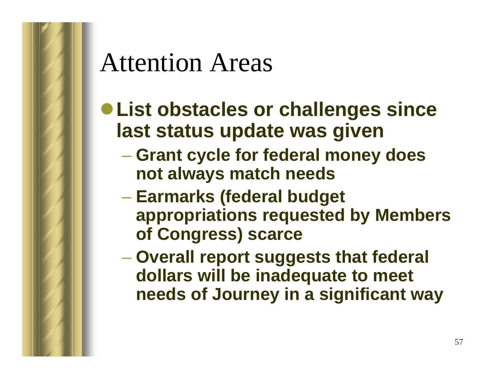## Attention Areas

- <sup>z</sup>**List obstacles or challenges since last status update was given**
	- **Grant cycle for federal money does not always match needs**
	- **Earmarks (federal budget appropriations requested by Members of Congress) scarce**
	- **Overall report suggests that federal dollars will be inadequate to meet needs of Journey in a significant way**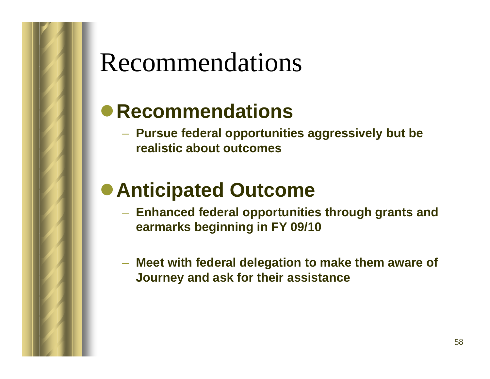#### Recommendations

#### z**Recommendations**

 **Pursue federal opportunities aggressively but be realistic about outcomes**

#### **• Anticipated Outcome**

- **Enhanced federal opportunities through grants and earmarks beginning in FY 09/10**
- **Meet with federal delegation to make them aware of Journey and ask for their assistance**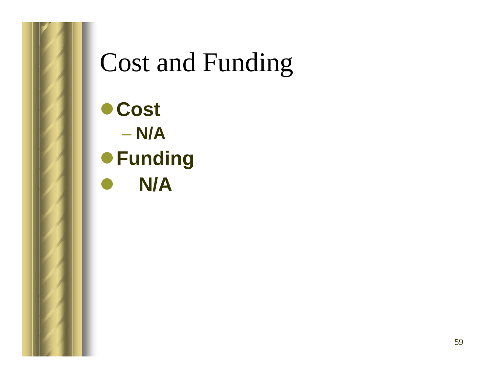## Cost and Funding

z**Cost** – **N/A** <sup>z</sup>**Funding**  $\bullet$ **N/A**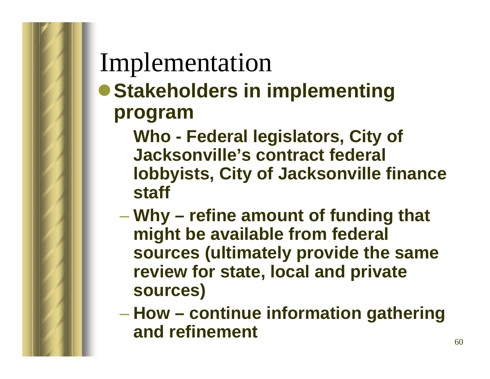### Implementation

**• Stakeholders in implementing program**

> **Who - Federal legislators, City of Jacksonville's contract federal lobbyists, City of Jacksonville finance staff**

- **Why – refine amount of funding that might be available from federal sources (ultimately provide the same review for state, local and private sources)**
- **How – continue information gathering and refinement**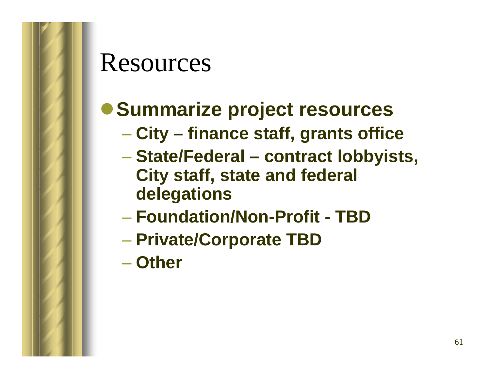#### Resources

#### **• Summarize project resources**

- **City – finance staff, grants office**
- **State/Federal – contract lobbyists, City staff, state and federal delegations**
- **Foundation/Non-Profit - TBD**
- **Private/Corporate TBD**
- **Other**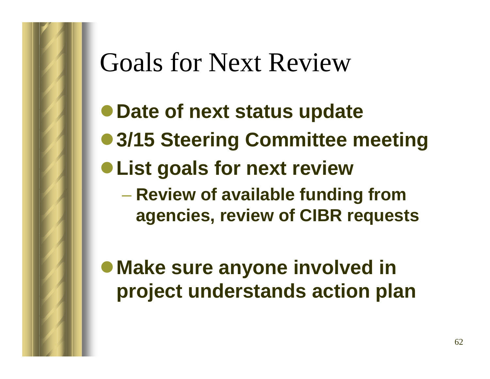## Goals for Next Review

- <sup>z</sup>**Date of next status update**
- 3/15 Steering Committee meeting
- <sup>z</sup>**List goals for next review**

 **Review of available funding from agencies, review of CIBR requests**

**• Make sure anyone involved in project understands action plan**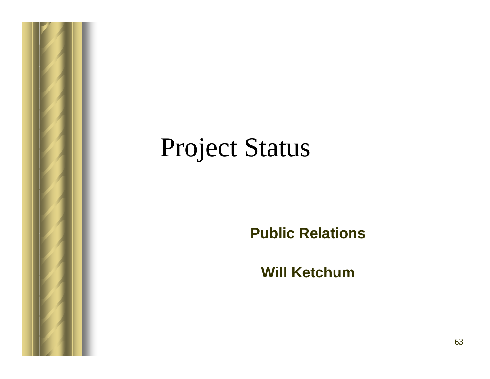## Project Status

#### **Public Relations**

**Will Ketchum**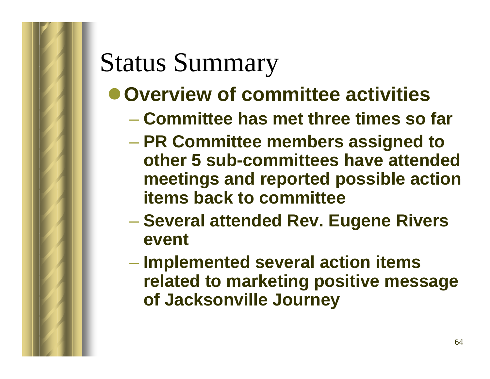## Status Summary

#### $\bullet$  **Overview of committee activities**

- **Committee has met three times so far**
- **PR Committee members assigned to other 5 sub-committees have attended meetings and reported possible action items back to committee**
- **Several attended Rev. Eugene Rivers event**
- **Implemented several action items related to marketing positive message of Jacksonville Journey**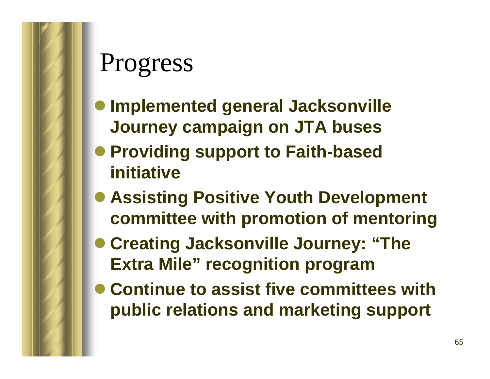- $\bullet$  **Implemented general Jacksonville Journey campaign on JTA buses**
- **Providing support to Faith-based initiative**
- **Assisting Positive Youth Development committee with promotion of mentoring**
- **Creating Jacksonville Journey: "The Extra Mile" recognition program**
- **Continue to assist five committees with public relations and marketing support**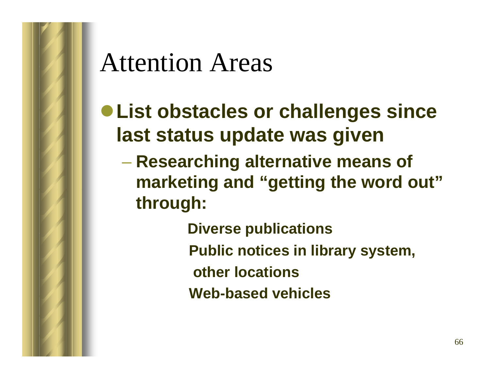## Attention Areas

- <sup>z</sup>**List obstacles or challenges since last status update was given**
	- **Researching alternative means of marketing and "getting the word out" through:**
		- **Diverse publications Public notices in library system, other locationsWeb-based vehicles**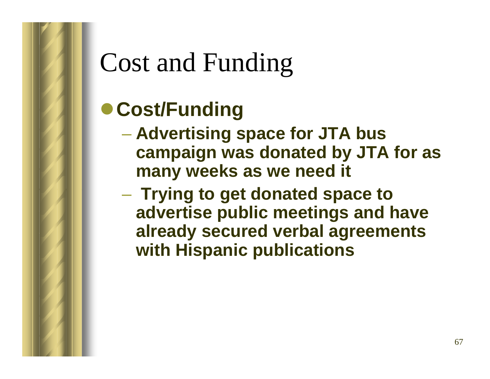# Cost and Funding

#### **• Cost/Funding**

- **Advertising space for JTA bus campaign was donated by JTA for as many weeks as we need it**
- **Hart Community Trying to get donated space to advertise public meetings and have already secured verbal agreements with Hispanic publications**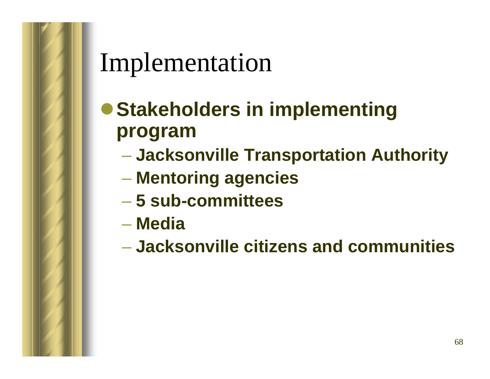### Implementation

- **Stakeholders in implementing program**
	- **Jacksonville Transportation Authority**
	- **Mentoring agencies**
	- **5 sub-committees**
	- **Media**
	- **Jacksonville citizens and communities**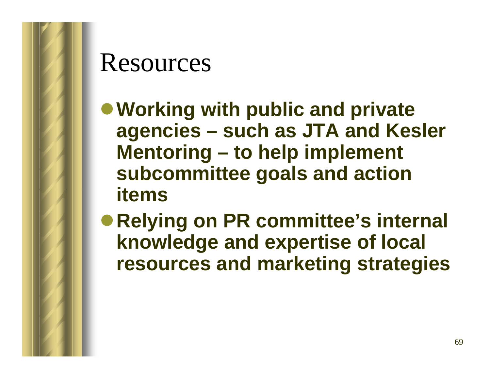#### Resources

- <sup>z</sup>**Working with public and private agencies – such as JTA and Kesler Mentoring – to help implement subcommittee goals and action items**
- Relying on PR committee's internal **knowledge and expertise of local resources and marketing strategies**